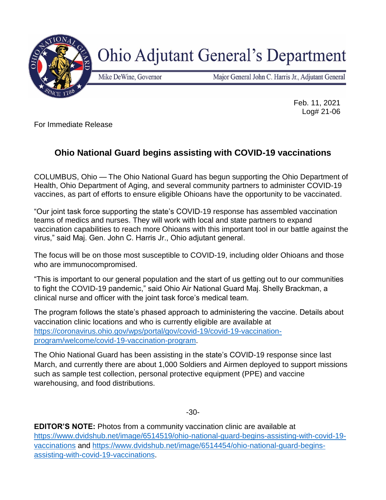

**Ohio Adjutant General's Department** 

Mike DeWine, Governor

Major General John C. Harris Jr., Adjutant General

Feb. 11, 2021 Log# 21-06

For Immediate Release

## **Ohio National Guard begins assisting with COVID-19 vaccinations**

COLUMBUS, Ohio — The Ohio National Guard has begun supporting the Ohio Department of Health, Ohio Department of Aging, and several community partners to administer COVID-19 vaccines, as part of efforts to ensure eligible Ohioans have the opportunity to be vaccinated.

"Our joint task force supporting the state's COVID-19 response has assembled vaccination teams of medics and nurses. They will work with local and state partners to expand vaccination capabilities to reach more Ohioans with this important tool in our battle against the virus," said Maj. Gen. John C. Harris Jr., Ohio adjutant general.

The focus will be on those most susceptible to COVID-19, including older Ohioans and those who are immunocompromised.

"This is important to our general population and the start of us getting out to our communities to fight the COVID-19 pandemic," said Ohio Air National Guard Maj. Shelly Brackman, a clinical nurse and officer with the joint task force's medical team.

The program follows the state's phased approach to administering the vaccine. Details about vaccination clinic locations and who is currently eligible are available at [https://coronavirus.ohio.gov/wps/portal/gov/covid-19/covid-19-vaccination](https://coronavirus.ohio.gov/wps/portal/gov/covid-19/covid-19-vaccination-program/welcome/covid-19-vaccination-program)[program/welcome/covid-19-vaccination-program.](https://coronavirus.ohio.gov/wps/portal/gov/covid-19/covid-19-vaccination-program/welcome/covid-19-vaccination-program)

The Ohio National Guard has been assisting in the state's COVID-19 response since last March, and currently there are about 1,000 Soldiers and Airmen deployed to support missions such as sample test collection, personal protective equipment (PPE) and vaccine warehousing, and food distributions.

-30-

**EDITOR'S NOTE:** Photos from a community vaccination clinic are available at [https://www.dvidshub.net/image/6514519/ohio-national-guard-begins-assisting-with-covid-19](https://www.dvidshub.net/image/6514519/ohio-national-guard-begins-assisting-with-covid-19-vaccinations) [vaccinations](https://www.dvidshub.net/image/6514519/ohio-national-guard-begins-assisting-with-covid-19-vaccinations) and [https://www.dvidshub.net/image/6514454/ohio-national-guard-begins](https://www.dvidshub.net/image/6514454/ohio-national-guard-begins-assisting-with-covid-19-vaccinations)[assisting-with-covid-19-vaccinations.](https://www.dvidshub.net/image/6514454/ohio-national-guard-begins-assisting-with-covid-19-vaccinations)